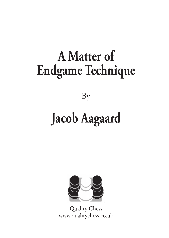### **[A Matter of](https://www.qualitychess.co.uk/products/3/403/a_matter_of_endgame_technique_by_jacob_aagaard/) [Endgame Technique](https://www.qualitychess.co.uk/products/3/403/a_matter_of_endgame_technique_by_jacob_aagaard/)**

[By](https://www.qualitychess.co.uk/products/3/403/a_matter_of_endgame_technique_by_jacob_aagaard/)

### **[Jacob Aagaard](https://www.qualitychess.co.uk/products/3/403/a_matter_of_endgame_technique_by_jacob_aagaard/)**



[Quality Chess](https://www.qualitychess.co.uk/) [www.qualitychess.co.uk](https://www.qualitychess.co.uk/)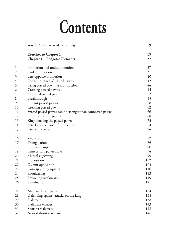# **Contents**

|                | You don't have to read everything!                                   | 9        |
|----------------|----------------------------------------------------------------------|----------|
|                | <b>Exercises to Chapter 1</b><br><b>Chapter 1 - Endgame Elements</b> | 15<br>27 |
| 1              | Promotion and underpromotion                                         | 27       |
| $\overline{c}$ | Underpromotion                                                       | 31       |
| 3              | Unstoppable promotion                                                | 40       |
| 4              | The importance of passed pawns                                       | 42       |
| 5              | Using passed pawns as a distraction                                  | 44       |
| 6              | Creating passed pawns                                                | 45       |
| 7              | Protected passed pawn                                                | 52       |
| 8              | Breakthrough                                                         | 55       |
| 9              | Distant passed pawns                                                 | 58       |
| 10             | Creating passed pawns                                                | 62       |
| 11             | Spread passed pawns can be stronger than connected pawns             | 66       |
| 12             | Eliminate all the pawns                                              | 68       |
| 13             | King blocking the passed pawn                                        | 73       |
| 14             | Attacking the pawns from behind                                      | 74       |
| 15             | Pawns in the way                                                     | 74       |
| 16             | Zugzwang                                                             | 82       |
| 17             | Triangulation                                                        | 86       |
| 18             | Losing a tempo                                                       | 90       |
| 19             | Unnecessary pawn moves                                               | 94       |
| 20             | Mutual zugzwang                                                      | 99       |
| 21             | Opposition                                                           | 102      |
| 22             | Distant opposition                                                   | 103      |
| 23             | Corresponding squares                                                | 110      |
| 24             | Shouldering                                                          | 113      |
| 25             | Provoking weaknesses                                                 | 119      |
| 26             | Domination                                                           | 121      |
| 27             | Mate in the endgame                                                  | 124      |
| 28             | Defending against attacks on the king                                | 138      |
| 29             | Stalemate                                                            | 138      |
| 30             | Stalemate escapes                                                    | 143      |
| 31             | Shortest stalemate                                                   | 148      |
| 32             | Newest shortest stalemate                                            | 148      |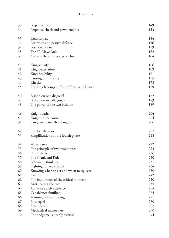#### Contents

<span id="page-2-0"></span>

| 33 | Perpetual rook                               | 149 |
|----|----------------------------------------------|-----|
| 34 | Perpetual check and pawn endings             | 153 |
|    |                                              |     |
| 35 | Counterplay                                  | 154 |
| 36 | Fortresses and passive defence               | 156 |
| 37 | Positional draw                              | 159 |
| 38 | The 50-Move Rule                             | 162 |
| 39 | Activate the strongest piece first           | 164 |
| 40 | King activity                                | 166 |
| 41 | King penetration                             | 169 |
| 42 | King flexibility                             | 171 |
| 43 | Cutting off the king                         | 175 |
| 44 | Checks                                       | 178 |
| 45 | The king belongs in front of the passed pawn | 179 |
| 46 | Bishop on one diagonal                       | 182 |
| 47 | Bishop on two diagonals                      | 183 |
| 48 | The power of the two bishops                 | 189 |
| 49 | Knight paths                                 | 204 |
| 50 | Knight in the corner                         | 204 |
| 51 | Kings are better than knights                | 206 |
| 52 | The fourth phase                             | 207 |
| 53 | Simplifications in the fourth phase          | 218 |
| 54 | Weaknesses                                   | 222 |
| 55 | The principle of two weaknesses              | 223 |
| 56 | Prophylaxis                                  | 226 |
| 57 | The Shankland Rule                           | 230 |
| 58 | Schematic thinking                           | 231 |
| 59 | Fighting for key squares                     | 234 |
| 60 | Knowing when to act and when to squeeze      | 239 |
| 61 | Timing                                       | 242 |
| 62 | The importance of the critical moment        | 250 |
| 63 | Anticipating the race                        | 255 |
| 64 | Active or passive defence                    | 258 |
| 65 | Capablanca shuffling                         | 275 |
| 66 | Winning without doing                        | 277 |
| 67 | Plus equal                                   | 280 |
| 68 | Small details                                | 283 |
| 69 | Mechanical manoeuvre                         | 290 |
| 70 | The endgame is deeply tactical               | 294 |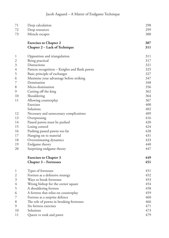| 71             | Deep calculation                              | 298 |
|----------------|-----------------------------------------------|-----|
| 72             | Deep resources                                | 299 |
| 73             | Miracle escapes                               | 300 |
|                | <b>Exercises to Chapter 2</b>                 | 307 |
|                | Chapter 2 – Lack of Technique                 | 311 |
| 1              | Opposition and triangulation                  | 311 |
| $\mathfrak{2}$ | Being practical                               | 317 |
| $\mathfrak{Z}$ | Distractions                                  | 321 |
| 4              | Pattern recognition – Knights and flank pawns | 325 |
| 5              | Basic principle of exchanges                  | 327 |
| 6              | Maximise your advantage before striking       | 347 |
| 7              | Domination                                    | 348 |
| 8              | Micro-domination                              | 356 |
| $\overline{9}$ | Cutting off the king                          | 362 |
| 10             | Shouldering                                   | 364 |
| 11             | Allowing counterplay                          | 367 |
|                | Exercises                                     | 400 |
|                | Solutions                                     | 402 |
| 12             | Necessary and unnecessary complications       | 409 |
| 13             | Overpressing                                  | 416 |
| 14             | Passed pawns must be pushed                   | 420 |
| 15             | Losing control                                | 424 |
| 16             | Pushing passed pawns too far                  | 428 |
| 17             | Hanging on to material                        | 431 |
| 18             | Overestimating dynamics                       | 433 |
| 19             | Endgame theory                                | 440 |
| 20             | Surprising endgame theory                     | 447 |
|                | <b>Exercises to Chapter 3</b>                 | 449 |
|                | Chapter 3 – Fortresses                        | 451 |
| 1              | Types of fortresses                           | 451 |
| $\mathfrak{2}$ | Fortress as a defensive strategy              | 452 |
| $\mathfrak{Z}$ | Ways to break fortresses                      | 453 |
| 4              | Wrong bishop for the corner square            | 454 |
| 5              | A shouldering fortress                        | 458 |
| 6              | A fortress that relies on counterplay         | 459 |
| 7              | Fortress as a surprise defence                | 460 |
| 8              | The role of pawns in breaking fortresses      | 466 |
| 9              | Six fortress exercises                        | 471 |
| 10             | Solutions                                     | 473 |
| 11             | Queen vs rook and pawn                        | 479 |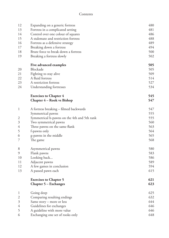#### Contents

| 12             | Expanding on a generic fortress             | 480 |
|----------------|---------------------------------------------|-----|
| 13             | Fortress in a complicated setting           | 481 |
| 14             | Control over one colour of squares          | 486 |
| 15             | A stalemate and restriction fortress        | 488 |
| 16             | Fortress as a defensive strategy            | 489 |
| 17             | Breaking down a fortress                    | 494 |
| 18             | Brute force to break down a fortress        | 500 |
| 19             | Breaking a fortress slowly                  | 502 |
|                | Five advanced examples                      | 505 |
| 20             | Blockade                                    | 505 |
| 21             | Fighting to stay alive                      | 509 |
| 22             | A fluid fortress                            | 514 |
| 23             | A restriction fortress                      | 527 |
| 24             | Understanding fortresses                    | 534 |
|                | <b>Exercises to Chapter 4</b>               | 545 |
|                | <b>Chapter 4 – Rook vs Bishop</b>           | 547 |
| 1              | A fortress breaking – filmed backwards      | 547 |
|                | Symmetrical pawns                           | 555 |
| $\overline{c}$ | Symmetrical h-pawns on the 4th and 5th rank | 555 |
| 3              | Two symmetrical pawns                       | 560 |
| 4              | Three pawns on the same flank               | 563 |
| 5              | f-pawns only                                | 564 |
| 6              | g-pawns in the middle                       | 565 |
| 7              | The game                                    | 568 |
| 8              | Asymmetrical pawns                          | 580 |
| 9              | Flank pawns                                 | 583 |
| 10             | Looking back                                | 586 |
| 11             | Adjacent pawns                              | 589 |
| 12             | A few games in conclusion                   | 594 |
| 13             | A passed pawn each                          | 615 |
|                | <b>Exercises to Chapter 5</b>               | 621 |
|                | Chapter 5 – Exchanges                       | 623 |
| 1              | Going deep                                  | 625 |
| $\mathfrak{2}$ | Comparing resulting endings                 | 632 |
| 3              | Same story – more or less                   | 644 |
| 4              | Guidelines for exchanges                    | 646 |
| 5              | A guideline with more value                 | 646 |
| 6              | Exchanging one set of rooks only            | 648 |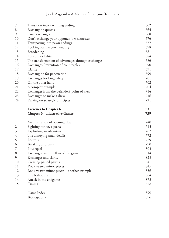| $\overline{7}$ | Transition into a winning ending                   | 662 |
|----------------|----------------------------------------------------|-----|
| $\,8\,$        | Exchanging queens                                  | 664 |
| 9              | Pawn exchanges                                     | 668 |
| 10             | Don't exchange your opponent's weaknesses          | 676 |
| 11             | Transposing into pawn endings                      | 677 |
| 12             | Looking for the pawn ending                        | 678 |
| 13             | Broadening                                         | 681 |
| 14             | Loss of flexibility                                | 684 |
| 15             | The transformation of advantages through exchanges | 686 |
| 16             | Exchanges/Prevention of counterplay                | 690 |
| 17             | Clarity                                            | 691 |
| 18             | Exchanging for penetration                         | 699 |
| 19             | Exchanges for king safety                          | 701 |
| 20             | On the other hand                                  | 702 |
| 21             | A complex example                                  | 704 |
| 22             | Exchanges from the defender's point of view        | 714 |
| 23             | Exchanges to make a draw                           | 716 |
| 24             | Relying on strategic principles                    | 721 |
|                | <b>Exercises to Chapter 6</b>                      | 731 |
|                | <b>Chapter 6 - Illustrative Games</b>              | 739 |
| 1              | An illustration of opening play                    | 740 |
| $\mathfrak{2}$ | Fighting for key squares                           | 745 |
| $\mathfrak{Z}$ | Exploiting an advantage                            | 762 |
| $\overline{4}$ | The annoying small details                         | 772 |
| 5              | Fortress                                           | 779 |
| 6              | Breaking a fortress                                | 790 |
| 7              | Plus equal                                         | 803 |
| 8              | Exchanges and the flow of the game                 | 814 |
| 9              | Exchanges and clarity                              | 828 |
| $10\,$         | Creating passed pawns                              | 841 |
| 11             | Rook vs two minor pieces                           | 845 |
| 12             | Rook vs two minor pieces - another example         | 856 |
| 13             | The bishop pair                                    | 864 |
| 14             | Attack in the endgame                              | 872 |
| 15             | Timing                                             | 878 |
|                | Name Index                                         | 890 |
|                | Bibliography                                       | 896 |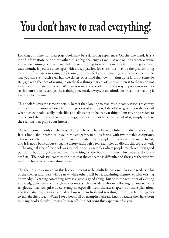### **You don't have to read everything!**

Looking at a nine hundred page book may be a daunting experience. On the one hand, it is a lot of information, but on the other, it is a big challenge as well. At our online academy, www. killerchesstraining.com, we have daily classes, leading to 40-50 hours of chess training available each month. If you are a teenager with a deep passion for chess, this may be the greatest thing ever. But if you are a working professional, you may feel you are missing out, because there is no way you can ever watch even half the classes. Most find their own rhythm quite fast, but some do struggle with the idea of zoning in on the few things that are of especial interest to them and not feeling that they are losing out. We always wanted the academy to be a way to pool our resources so that our students can get the training they need, always, at an affordable price, thus making it available to everyone.

This book follows the same principle. Rather than looking to maximise income, it seeks to convey as much information as possible. In the process of writing it, I decided to give up on the idea of what a chess book usually looks like and allowed it to be its own thing. I am trusting readers to understand that this book is many things, and you do not have to read all of it, simply stick to the sections that pique your interest.

The book contains only six chapters, all of which could have been published as individual volumes. It is a book about technical play in the endgame, in all its facets, with two notable exceptions. This is not a book about rook endings, although a few examples of rook endings are included, and it is not a book about endgame theory, although a few examples do discuss this topic as well.

The original idea of the book was to include only examples where people misplayed their good positions, but as I got deeper into the writing of the book, this constraint became obviously artificial. The book still contains the idea that the endgame is difficult, and these are the ways we mess up, but it is only one dimension.

The themes and examples in this book are meant to be multidimensional. To some readers, a lot of the themes and ideas will be new, while others will be reacquainting themselves with existing knowledge. Learning something new is always a good thing. But so is the reminder of existing knowledge, particularly through new examples. Those readers who are following top tournaments religiously may recognise a few examples, especially from the last chapter. But the explanations and thematic investigation should still make them fresh and revealing. I don't use famous games to explain chess ideas. When I see a book full of examples I already know, because they have been in many books already, I mentally turn off. I do not want this experience for you.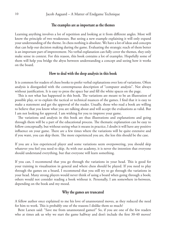#### **The examples are as important as the themes**

<span id="page-7-0"></span>Learning anything involves a lot of repetition and looking at it from different angles. Most will know the principle of two weaknesses. But seeing a new example explaining it will only expand your understanding of the theme. In chess nothing is absolute. We have a lot of ideas and concepts that can help our decision making during the game. Evaluating the strategic reach of them better is an important part of improvement. No verbal explanation can fully cover the themes, they only make sense in context. For this reason, this book contains a lot of examples. Hopefully some of them will help you bridge the abyss between understanding a concept and seeing how it works on the board.

#### **How to deal with the deep analysis in this book**

It is common for readers of chess books to prefer verbal explanations over lots of variations. Often analysis is disregarded with the contemptuous description of "computer analysis". Not always without justification. It is easy to press the space bar and fill the white spaces on the page.

This is not what has happened in this book. The variations are meant to be an illustration of possible play, or to explain the tactical or technical nuances of the games. I find that it is easy to make a statement and get the approval of the reader. Usually, those who read a book are willing to believe that you know what you are talking about and will accept the evaluations as valid. But I am not looking for approval. I am wishing for you to improve your game.

The variations and analysis in this book are thus illustrations and explanations and going through them will be a part of the educational process. The thematic explanation can be easy to follow conceptually, but without seeing what it means in practice, I doubt it will have any positive influence on your game. There are a few times where the variations will be quite extensive and if you want, you can skip them. The more experienced you are, the less this should be the case.

If you are a less experienced player and some variations seem overpowering, you should skip whatever you feel you need to skip. As with our academy, it is never the intention that everyone should understand everything, but that everyone will learn something.

If you can, I recommend that you go through the variations in your head. This is good for your training in visualisation in general and where chess should be played. If you need to play through the games on a board, I recommend that you still try to go through the variations in your head. Many strong players would never think of using a board when going through a book; others would not consider reading a book without it. Personally, I am somewhere in-between, depending on the book and my mood.

#### **Why the games are truncated**

A fellow author once explained to me his love of unannotated moves, as they reduced the need for him to work. This is probably one of the reasons I dislike them so much?

Bent Larsen said: "Save me from unannotated games!" So, if you are one of the few readers who at times ask us why we start the game halfway and don't include the first 30-40 moves?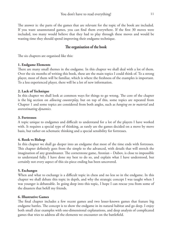<span id="page-8-0"></span>The answer is: the parts of the games that are relevant for the topic of the book are included. If you want unannotated games, you can find them everywhere. If the first 30 moves were included, too many would believe that they had to play through these moves and would be wasting time they should spend improving their endgame technique.

#### **The organisation of the book**

The six chapters are organised like this:

#### **1. Endgame Elements**

There are many small themes in the endgame. In this chapter we shall deal with a lot of them. Over the six months of writing this book, these are the main topics I could think of. To a strong player, most of them will be familiar, which is where the freshness of the examples is important. To a less experienced player, there will be a lot of new information.

#### **2. Lack of Technique**

In this chapter we shall look at common ways for things to go wrong. The core of the chapter is the big section on *allowing counterplay*, but on top of this, some topics are repeated from Chapter 1 and some topics are considered from both angles, such as *hanging on to material* and *overestimating dynamics.*

#### **3. Fortresses**

A topic unique to endgames and difficult to understand for a lot of the players I have worked with. It requires a special type of thinking, as rarely are the games decided on a move by move basis, but rather on schematic thinking and a special sensibility for fortresses.

#### **4. Rook vs Bishop**

In this chapter we shall go deeper into an endgame that most of the time ends with fortresses. This chapter definitely goes from the simple to the advanced, with details that will stretch the imagination of any grandmaster. The cornerstone game, Aronian – Dubov, is close to impossible to understand fully. I have done my best to do so, and explain what I have understood, but certainly not every aspect of this six-piece ending has been uncovered.

#### **5. Exchanges**

When and what to exchange is a difficult topic in chess and no less so in the endgame. In this chapter we shall debate this topic in depth, and why the strategic concept I was taught when I was younger is debateable. In going deep into this topic, I hope I can rescue you from some of the disasters that befell my friends.

#### **6. Illustrative Games**

The final chapter includes a few recent games and two lesser-known games that feature big endgame battles. The concept is to show the endgame in its natural habitat and go deep. I enjoy both small clear examples with one-dimensional explanations, and deep analysis of complicated games that tries to address all the elements we encounter on the battlefield.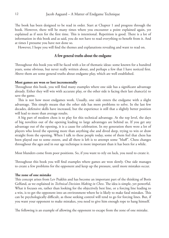<span id="page-9-0"></span>The book has been designed to be read in order. Start at Chapter 1 and progress through the book. However, there will be many times where you encounter a point explained again, yet explained as if seen for the first time. This is intentional. Repetition is good. There is a lot of information in this book and as said, you do not have to read everything to benefit from it. And at times I presume you have not done so.

However, I hope you will find the themes and explanations revealing and want to read on.

#### **A few general truths about the endgame**

Throughout this book you will be faced with a lot of thematic ideas: some known for a hundred years, some obvious, but never really written about, and perhaps a few that I have noticed first. Above them are some general truths about endgame play, which are well established.

#### **Most games are won or lost incrementally**

Throughout this book, you will find many examples where one side has a significant advantage already. Either they will win with accurate play, or the other side is facing their last chance(s) to save the game.

This is not how most endgames work. Usually, one side enters the endgame with a slight advantage. This simply means that the other side has more problems to solve. In the last few decades, defensive skills have increased, but the experience is still that a slightly better position will lead to more than average results.

A big part of modern chess is to play for this technical advantage. At the top level, the days of big novelties out of the opening leading to large advantages are behind us. If you get any advantage out of the opening, it is a cause for celebration. In my generation there were a lot of players who loved the opening more than anything else and dived deep, trying to win or draw straight from the opening. When I talk to these people today, some of them feel that chess has been played out to some extent, and all there is left is to attempt some "bluff". Chess changes throughout the ages and in our age technique is more important than it has been for a while.

Most blunders come from poor positions. So, if you want to rely on luck, you need to create it.

Throughout this book you will find examples where games are won slowly. One side manages to create a few problems for the opponent and keep up the pressure, until more mistakes occur.

#### **The zone of one mistake**

This concept arises from Lev Psakhis and has become an important part of the thinking of Boris Gelfand, as we explained in *Technical Decision Making in Chess*. The idea is simple, yet powerful. What it focuses on, rather than looking for the objectively best line, or a forcing line leading to a win, is to get the opponent into an environment where he is likely to make fatal mistakes. This can be psychologically difficult, as those seeking control will tend to go for forcing lines. But, if you want your opponent to make mistakes, you need to give him enough rope to hang himself.

The following is an example of allowing the opponent to escape from the zone of one mistake.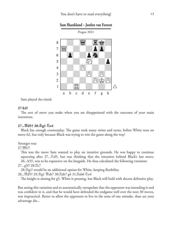<span id="page-10-0"></span>

**Sam Shankland – Jorden van Foreest**

Sam played the timid:

#### **27.h3?**

The sort of move you make when you are disappointed with the outcome of your main intentions.

#### **27...£d5† 28.¢g1 ¤e4**

Black has enough counterplay. The game took many twists and turns, before White won on move 62, but only because Black was trying to win the game along the way!

Stronger was:

27. №b7!

This was the move Sam wanted to play on intuitive grounds. He was happy to continue squeezing after  $27...\overline{2}d5$ , but was thinking that the intention behind Black's last move, 26...h5!?, was to be expansive on the kingside. He thus calculated the following variation:

27...g5!? 28. c7

 $28.\Phi$ g1! would be an additional option for White, keeping flexibility.

28...曾d5† 29.杢g1 曾xb7 30.罝xb7 g4 31.罝xb6 ②e4

The knight is aiming for g5. White is pressing, but Black will hold with decent defensive play.

But seeing this variation and to automatically extrapolate that the opponent was intending it and was confident in it, and that he would have defended the endgame well over the next 30 moves, was impractical. Better to allow the opponent to live in the zone of one mistake, than see your advantage die...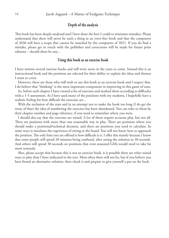#### **Depth of the analysis**

This book has been deeply analysed and I have done the best I could to minimise mistakes. Please understand that there will never be such a thing as an error-free book and that the computers of 2030 will have a scope that cannot be matched by the computers of 2021. If you do find a mistake, please get in touch with the publisher and corrections will be made for future print editions – should there be any...

#### **Using this book as an exercise book**

I have written several exercise books and will write more in the years to come. Instead this is an instructional book and the positions are selected for their ability to explain the ideas and themes I want to cover.

However, there are those who will wish to use this book as an exercise book and I respect that. I do believe that "thinking" is the most important component in improving in this game of ours.

So, before each chapter I have created a list of exercises and marked them according to difficulty with a 1-5 assessment. As I have used many of the positions with my students, I hopefully have a realistic feeling for how difficult the exercises are...

With the inclusion of the stars and in an attempt not to make the book too long (I do get the irony of that) the idea of numbering the exercises has been abandoned. You can refer to them by their chapter number and page reference, if you need to remember where you were.

I should also say that the exercises are mixed. A lot of them require accurate play, but not all. There are positions with more than one reasonable way to play. There are positions where you should make a positional/technical decision, and there are positions you need to calculate. In some ways it simulates the experience of sitting at the board. You will not know how to approach the position. The only hint you are offered is how difficult it is. I offer this mainly because I know that some people will spend 20 minutes being confused, after seeing the solution in 30 seconds. And others will spend 30 seconds on positions that even seasoned GMs would need to take far more seriously.

Also, please accept that because this is not an exercise book, it is possible there are other sound ways to play than I have indicated in the text. Most often there will not be, but if you believe you have found an alternative solution, then check it and prepare to give yourself a pat on the back.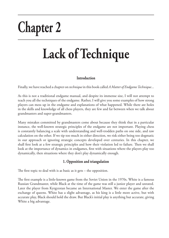# **Chapter 2**

## **Lack of Technique**

#### **Introduction**

Finally, we have reached a chapter on *technique* in this book called *A Matter of Endgame Technique*...

As this is not a traditional endgame manual, and despite its immense size, I will not attempt to teach you all the techniques of the endgame. Rather, I will give you some examples of how strong players can mess up in the endgame and explanations of what happened. While there are holes in the skills and knowledge of all chess players, they are few and far between when we talk about grandmasters and super-grandmasters.

Many mistakes committed by grandmasters come about because they think that in a particular instance, the well-known strategic principles of the endgame are not important. Playing chess is constantly balancing a scale with understanding and well-trodden paths on one side, and raw calculation on the other. If we tip too much in either direction, we risk either being too dogmatic in our approach or ignoring strategic concepts developed over centuries. In this chapter, we shall first look at a few strategic principles and how their violation led to failure. Then we shall look at the importance of dynamics in endgames, first with situations where the players play too dynamically, then situations where they don't play dynamically enough.

#### **1. Opposition and triangulation**

The first topic to deal with is as basic as it gets – the opposition.

The first example is a little-known game from the Soviet Union in the 1970s. White is a famous Russian Grandmaster, while Black at the time of the game was still a junior player and unrated. Later the player from Kyrgyzstan became an International Master. We enter the game after the exchange of queens. White has a slight advantage, as his king is a little more active, but with accurate play, Black should hold the draw. But Black's initial play is anything but accurate, giving White a big advantage.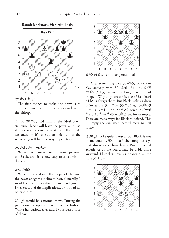

#### **27.¢e2 ¢f8?**

The first chance to make the draw is to create a pawn structure that works well with the bishop.

 $27...$  f6  $28.\text{\textdegree}$  d3 b5! This is the ideal pawn structure. Black will leave the pawn on a7 so it does not become a weakness. The single weakness on b5 is easy to defend, and the white king will have no way to penetrate.

#### **28.¢d3 ¢e7 29.¢c4**

White has managed to put some pressure on Black, and it is now easy to succumb to desperation.

#### **29...¢d6?**

Which Black does. The hope of drawing the pawn endgame is slim at best. Generally, I would only enter a difficult pawn endgame if I was on top of the implications, or if I had no other choice.

29...g5 would be a normal move. Putting the pawns on the opposite colour of the bishop. White has various tries and I considered four of them:



a)  $30.44 \&c6$  is not dangerous at all.

b) After something like 30.2b5, Black can play actively with  $30...\&66\uparrow 31.\&c3 \&d7!$ 32.¤xa7 b5, when the knight is sort of trapped. Why only sort of? Because 33.a4 bxa4 34.b5 is always there. But Black makes a draw quite easily: 34... $\triangle$ d6 35. $\triangle$ b4 a3 36. $\triangle$ xa3 ¢c5 37.¢a4 ¢b6 38.¤c6 ¥xc6 39.bxc6  $\&\text{xc6 }40.\&\text{b4 } \&\text{d5 }41.\&\text{c3 }$  e4, for example. There are many ways for Black to defend. This is simply the one that seemed most natural to me.

c) 30.g4 looks quite natural, but Black is not in any trouble.  $30...\triangle$ e6!? The computer says that almost everything holds. But the actual experience at the board may be a bit more awkward. I like this move, as it contains a little trap: 31.2b5?



<span id="page-13-0"></span>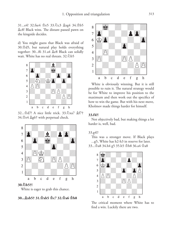<span id="page-14-0"></span>31...e4! 32.fxe4 \$e5 33.4 c3 \$xg4 34.\$b5 ¥c8! Black wins. The distant passed pawn on the kingside decides.

d) You might guess that Black was afraid of 30.¢d5, but natural play holds everything together: 30...f6 31.a4  $\&e8$  Black can solidly wait. White has no real threats. 32.2b5



32...¢d7! A nice little trick. 33.¤xa7 ¥f7† 34.¢e4 ¥g6† with perpetual check.



White is eager to grab this chance.

#### **30...¥xb5† 31.¢xb5 ¢c7 32.¢a6 ¢b8**



White is obviously winning. But it is still possible to ruin it. The natural strategy would be for White to improve his position to the maximum and then work out the specifics of how to win the game. But with his next move, Kholmov made things harder for himself.

#### **33.f4?!**

Not objectively bad, but making things a lot harder is, well, bad.

#### 33.g4!?

This was a stronger move. If Black plays ...g5, White has h2-h3 in reserve for later. 33...¢a8 34.h4 g5 35.h5 ¢b8 36.a4 ¢a8



The critical moment where White has to find a win. Luckily there are two.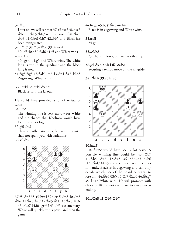#### <span id="page-15-0"></span>37.¢b5

Later on, we will see that 37.a5 bxa5 38.bxa5  $\Phi$ b8 39. $\Phi$ b5  $\Phi$ b7 wins because of 40. $\Phi$ c5 ¢a6 41.¢b4! ¢b7 42.¢b5 and Black has been triangulated.

37...¢b7 38.¢c4 ¢c6 39.f4! exf4

39...f6 40.b5† ¢d6 41.f5 and White wins. 40.exf4 f6

40...gxf4 41.g5 and White wins. The white king is within the quadrant and the black king is not.

41.fxg5 fxg5 42.¢d4 ¢d6 43.¢e4 ¢e6 44.b5 Zugzwang. White wins.

#### **33...exf4 34.exf4 ¢a8?!**

Black returns the favour.

He could have provided a lot of resistance with:

34...h5!

The winning line is very narrow for White and the chance that Kholmov would have found it is not big.

35.g3! ¢a8

There are other attempts, but at this point I shall not spam you with variations.

 $36.94$   $\Phi$ <sub>b</sub>8



37.f5! ¢a8 38.a5! bxa5 39.¢xa5! ¢b8 40.¢b5 ¢b7 41.¢c5 ¢c7 42.¢d5 ¢d7 43.¢e5 ¢c6 43...¢e7 44.f6† gxf6† 45.¢f5 is elementary. White will quickly win a pawn and then the game.

44.f6 g6 45.b5†!  $\&c5$  46.h4

Black is in zugzwang and White wins.

#### **35.a4?!**

35.g4!

#### **35...¢b8**

35...h5! still loses, but was worth a try.

#### **36.g4 ¢a8 37.h4 f6 38.f5!**

Securing a tempo move on the kingside.

#### **38...¢b8 39.a5 bxa5**



#### **40.bxa5?!**

40.¢xa5! would have been a lot easier. A possible winning line could be:  $40...\&b/7$ 41.¢b5 ¢c7 42.¢c5 a6 43.¢d5 ¢b6  $(43...\&d7\,44.h5$  and the reserve tempo comes in handy. Black is in zugzwang and can only decide which side of the board he wants to lose on.) 44. c6 h5 45. f7 hxb4 46. hxg7 a5 47.g5 White wins. He will promote with check on f8 and not even have to win a queen ending.

#### **40...¢a8 41.¢b5 ¢b7**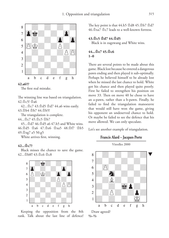<span id="page-16-0"></span>



The first real mistake.

The winning line was based on triangulation.  $42 \Phi c$ 5!  $\Phi a6$ 

42...¢c7 43.¢d5 ¢d7 44.a6 wins easily. 43.¢b4 ¢b7 44.¢b5!

The triangulation is complete.

44...¢c7 45.¢c5 ¢b7

45...¢d7 46.¢d5 a6 47.h5 and White wins. 46.¢d5 ¢a6 47.¢e6 ¢xa5 48.¢f7 ¢b5 49.¢xg7 a5 50.g5

White arrives first, winning.

#### **42...¢c7?**

Black misses the chance to save the game. 42... \$b8!! 43.\$c6 \$c8



Keeping the opposition from the 8th rank. Talk about the last line of defence!

The key point is that  $44.h5 \triangle 184.45 \triangle 107 \triangle 17$  $46.\&$ xa $7 \&c7$  leads to a well-known fortress.

#### **43.¢c5 ¢d7 44.¢d5**

Black is in zugzwang and White wins.

#### **44...¢e7 45.¢c6 1–0**

There are several points to be made about this game. Black lost because he entered a dangerous pawn ending and then played it sub-optimally. Perhaps he believed himself to be already lost when he missed the last chance to hold. White got his chance and then played quite poorly. First he failed to strengthen his position on move 33. Then on move 40 he chose to have an a-pawn, rather than a b-pawn. Finally, he failed to find the triangulation manoeuvre that would still have won the game, giving his opponent an undeserved chance to hold. Or maybe he failed to see the defence that his move allowed. We can only speculate.

Let's see another example of triangulation.



Draw agreed? **½–½**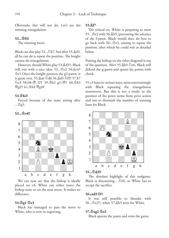Obviously, this will not do. Let's see the winning triangulation.

#### **52...¢f4!**

The winning move.

Black can also play 52... $\&b$ b7, but after 53. $\&d3$ , all he can do is repeat the position. The knight cannot do triangulation.

However, should White play 53.&d5?!, Black will win with a nice idea: 53...  $\text{Re2 } 54.\text{Re4}^+$ ¢e1 Once the knight protects the g2-pawn, it is game over. 55. a6 \d6 56. a43 \f15! 57. b7  $\triangle$ e3 58.b8=™ී f2† 59. $\triangle$ h2 g1=™ී† 60. $\triangle$ h3  $\frac{\omega_{g2}}{\omega_{g4}}$  61. $\Phi$ h4  $\frac{\omega_{g4}}{\omega_{g4}}$ 

#### **53.¢h2!**

Forced because of the mate arising after ...¢g3.

#### **53...¢e4!!**



We can now see that the bishop is ideally placed on c4. White can either move the bishop now, or on the next move. It makes no difference.

#### **54.¢g1 ¢e3**

Black has managed to pass the move to White, who is now in zugzwang.

#### **55.¥f7**

The critical try. White is preparing to meet 55... $\dot{\Phi}$ e2 with 56. $\hat{\Phi}$ h5, preventing the advance of the f-pawn. Black would then do best to go back with  $56...$  $\Phi$ e3, aiming to repeat the position, after which he could win as detailed below.

Putting the bishop on the other diagonal is out of the question. After 55. $\&b$ b5  $\&c$ e6, Black will defend the g-pawn and queen his pawns with check.

55.c3 loses in various ways, most entertainingly with Black repeating the triangulation manoeuvre. But this is not a study, so the position of the pawn stems from prior action and not to diminish the number of winning lines for Black.



#### **55...¤d3!!**

The absolute highlight of this endgame. Black is threatening  $\ldots\textcircled{2}f4$ , so White has to accept the sacrifice.

#### **56.cxd3 f2†**

It was still possible to blunder with 56...¢e2??, when 57.¥h5 wins for White.

#### **57.¢xg2 ¢e2**

Black queens the pawn and wins the game.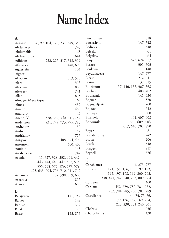### **Name Index**

| A                                       | Batchuluun<br>818                 |
|-----------------------------------------|-----------------------------------|
| 76, 99, 104, 120, 231, 349, 356         | 147,742                           |
| Aagaard                                 | Batsiashvili                      |
| 743                                     | 348                               |
| Abdullayev                              | Bednorz                           |
| 163                                     | 61                                |
| Abdumalik                               | Belezky                           |
| 644                                     | 264                               |
| Abdusattorov                            | Belyakov                          |
| Adhiban                                 | Benjamin                          |
| 222, 227, 317, 318, 319                 | 623, 624, 677                     |
| Afanasiev                               | <b>Berkes</b>                     |
| 448,690                                 | 301, 303                          |
| 104                                     | Beukema                           |
| Agdestein                               | 148                               |
| Aigner                                  | Beydullayeva                      |
| 114                                     | 147, 677                          |
| Akobian                                 | 212, 841                          |
| 503, 580                                | Bjerre                            |
| Alard                                   | Blatny                            |
| 315                                     | 139, 615                          |
| 803                                     | Bluebaum                          |
| Alekhine                                | 57, 136, 137, 367, 368            |
| Alekseev                                | Bocharov                          |
| 741                                     | 400, 402                          |
| 815                                     | Bodnaruk                          |
| Allan                                   | 141, 430                          |
| 169                                     | 370                               |
| Almagro Mazariegos                      | Bogner                            |
| 439                                     | 260                               |
| Almasi                                  | Bogosavljevic                     |
| 488                                     | 742                               |
| Amann                                   | Bojkov                            |
| Anand, P.                               | 500                               |
| 45                                      | Bortnyk                           |
| Anand, V.                               | Boskovic                          |
| 338, 339, 340, 611, 742                 | 401, 407, 408                     |
| Andersson                               | 364, 609, 616,                    |
| 231, 772, 773, 775, 783                 | Botvinnik                         |
| Andreikin<br>32                         | 617, 646, 707, 870                |
| 157                                     | 481                               |
| Andreu                                  | Boyer                             |
| 717                                     | Brandenburg                       |
| Andrianov                               | 742                               |
| 488, 494, 499                           | 206                               |
| Antipov                                 | Braun                             |
| 400, 403                                | 348                               |
| Antonsen                                | <b>Bruch</b>                      |
| Aouididi                                | 817                               |
| 148                                     | Brugger                           |
| Areshchenko                             | 676                               |
| 742                                     | Brynell                           |
| 11, 327, 328, 338, 441, 442,<br>Aronian | $\mathbf C$                       |
| 443, 444, 446, 447, 502, 515,           | Capablanca                        |
| 555, 568, 575, 576, 577, 579,           | 4, 275, 277<br>Carlsen            |
| 625, 633, 704, 706, 710, 711, 712       | 121, 155, 156, 189, 192, 193,     |
| Artemiev                                | 195, 197, 198, 199, 200, 203,     |
| 137, 598, 599, 603                      | 338, 441, 747, 748, 783, 809, 864 |
| Askarova                                | Carlsson                          |
| 815                                     | 460                               |
| 686                                     | Caruana                           |
| Azarov                                  | 452, 779, 780, 781, 782,          |
| B                                       | 783, 784, 785, 786, 787, 789      |
|                                         | Castellanos<br>44, 74, 75, 76,    |
| 141,742<br>Balajayeva<br>148            | 79, 126, 157, 169, 204,           |
| Banko<br>317                            | 223, 230, 231, 240, 301           |
| Banusz                                  | Chabris                           |
| 125                                     | 256                               |
| Barskij                                 | Charochkina<br>430                |
| 153,856<br>Basso                        |                                   |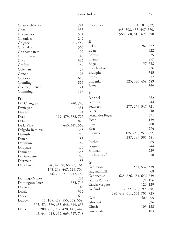| Chen<br>333<br>348, 398, 433, 447, 560,<br>594<br>Cheparinov<br>566, 568, 615, 625, 690<br>242<br>Cherniaev<br>E<br>261, 457<br>Chigaev<br>Eckert<br>267, 522<br>Chistiakov<br>566<br>Eden<br>322<br>Chithambaram<br>102<br>Ehlvest<br>775<br>145<br>Christensen<br>857<br>Eljanov<br>362<br>Ciric<br>57,728<br>Engel<br>742<br>Cmilyte<br>226<br>Eraschenkov<br>Coleman<br>59<br>743<br>Erdogdu<br>28<br>Concio<br>Erdos<br>257<br>618<br>Cordova<br>Esipenko<br>325, 326, 459, 489<br>816<br>Cramling<br>369<br>Euwe<br>171<br>Cuenca Jimenez<br>187<br>Cumming<br>F<br>Fantinel<br>762<br>D<br>Fedorov<br>744<br>740, 745<br>Dai Changren<br>Fedoseev<br>277, 279, 347, 721<br>Danielyan<br>351<br>Feller<br>748<br>Dardha<br>124<br>691<br>Fernandez Reyes<br>Deac<br>199, 379, 382, 725<br>Fichtl<br>139<br>Debarnot<br>829<br>700<br>Finn<br>De la Villa<br>440, 447, 568<br>594<br>Firat<br>345<br>Delgado Ramirez<br>155, 250, 251, 252,<br>Firouzja<br>Demuth<br>210<br>287, 289, 395, 441<br>183<br>Deuer<br>Fischer<br>765<br>742<br>Deviatkin<br>744<br>Forgues<br>425<br>Dhopade<br>229<br>Fridman<br>345<br>Diamant<br>618<br>Frielingsdorf<br>240<br>Di Benedetto<br>183<br>Diermair<br>G<br>Ding Liren<br>46, 47, 58, 66, 72, 164,<br>534, 537, 539<br>Gabuzyan<br>198, 239, 447, 625, 704,<br>Gagunashvili<br>68<br>706, 707, 711, 712, 782<br>Gaponenko<br>625, 626, 631, 646, 859<br>Domingo Nunez<br>204<br>Garcia Ramos<br>171, 176<br>Dominguez Perez<br>683,746<br>Garcia Vasquez<br>126, 129<br>Draskovic<br>45<br>Gelfand<br>12, 32, 128, 199, 258,<br>Drazic<br>362<br>280, 448, 611, 654, 705, 725<br>699<br>Dreev<br>Getz<br>400, 405<br>Dubov<br>11, 165, 459, 555, 568, 569,<br>Gholami<br>396<br>575, 576, 579, 633, 648, 649, 655<br>Ghosh<br>103, 122<br>280, 281, 282, 420, 441, 442,<br>Duda<br>Gines Esteo<br>103<br>443, 444, 445, 662, 663, 747, 748 | Chatzieleftheriou | 744 | Dvoretsky | 94, 101, 332, |
|--------------------------------------------------------------------------------------------------------------------------------------------------------------------------------------------------------------------------------------------------------------------------------------------------------------------------------------------------------------------------------------------------------------------------------------------------------------------------------------------------------------------------------------------------------------------------------------------------------------------------------------------------------------------------------------------------------------------------------------------------------------------------------------------------------------------------------------------------------------------------------------------------------------------------------------------------------------------------------------------------------------------------------------------------------------------------------------------------------------------------------------------------------------------------------------------------------------------------------------------------------------------------------------------------------------------------------------------------------------------------------------------------------------------------------------------------------------------------------------------------------------------------------------------------------------------------------------------------------------------------------------------------------------------------------------------------------------------------------------------------------------------------------------------------------------------------------------------------------------------------------------------|-------------------|-----|-----------|---------------|
|                                                                                                                                                                                                                                                                                                                                                                                                                                                                                                                                                                                                                                                                                                                                                                                                                                                                                                                                                                                                                                                                                                                                                                                                                                                                                                                                                                                                                                                                                                                                                                                                                                                                                                                                                                                                                                                                                            |                   |     |           |               |
|                                                                                                                                                                                                                                                                                                                                                                                                                                                                                                                                                                                                                                                                                                                                                                                                                                                                                                                                                                                                                                                                                                                                                                                                                                                                                                                                                                                                                                                                                                                                                                                                                                                                                                                                                                                                                                                                                            |                   |     |           |               |
|                                                                                                                                                                                                                                                                                                                                                                                                                                                                                                                                                                                                                                                                                                                                                                                                                                                                                                                                                                                                                                                                                                                                                                                                                                                                                                                                                                                                                                                                                                                                                                                                                                                                                                                                                                                                                                                                                            |                   |     |           |               |
|                                                                                                                                                                                                                                                                                                                                                                                                                                                                                                                                                                                                                                                                                                                                                                                                                                                                                                                                                                                                                                                                                                                                                                                                                                                                                                                                                                                                                                                                                                                                                                                                                                                                                                                                                                                                                                                                                            |                   |     |           |               |
|                                                                                                                                                                                                                                                                                                                                                                                                                                                                                                                                                                                                                                                                                                                                                                                                                                                                                                                                                                                                                                                                                                                                                                                                                                                                                                                                                                                                                                                                                                                                                                                                                                                                                                                                                                                                                                                                                            |                   |     |           |               |
|                                                                                                                                                                                                                                                                                                                                                                                                                                                                                                                                                                                                                                                                                                                                                                                                                                                                                                                                                                                                                                                                                                                                                                                                                                                                                                                                                                                                                                                                                                                                                                                                                                                                                                                                                                                                                                                                                            |                   |     |           |               |
|                                                                                                                                                                                                                                                                                                                                                                                                                                                                                                                                                                                                                                                                                                                                                                                                                                                                                                                                                                                                                                                                                                                                                                                                                                                                                                                                                                                                                                                                                                                                                                                                                                                                                                                                                                                                                                                                                            |                   |     |           |               |
|                                                                                                                                                                                                                                                                                                                                                                                                                                                                                                                                                                                                                                                                                                                                                                                                                                                                                                                                                                                                                                                                                                                                                                                                                                                                                                                                                                                                                                                                                                                                                                                                                                                                                                                                                                                                                                                                                            |                   |     |           |               |
|                                                                                                                                                                                                                                                                                                                                                                                                                                                                                                                                                                                                                                                                                                                                                                                                                                                                                                                                                                                                                                                                                                                                                                                                                                                                                                                                                                                                                                                                                                                                                                                                                                                                                                                                                                                                                                                                                            |                   |     |           |               |
|                                                                                                                                                                                                                                                                                                                                                                                                                                                                                                                                                                                                                                                                                                                                                                                                                                                                                                                                                                                                                                                                                                                                                                                                                                                                                                                                                                                                                                                                                                                                                                                                                                                                                                                                                                                                                                                                                            |                   |     |           |               |
|                                                                                                                                                                                                                                                                                                                                                                                                                                                                                                                                                                                                                                                                                                                                                                                                                                                                                                                                                                                                                                                                                                                                                                                                                                                                                                                                                                                                                                                                                                                                                                                                                                                                                                                                                                                                                                                                                            |                   |     |           |               |
|                                                                                                                                                                                                                                                                                                                                                                                                                                                                                                                                                                                                                                                                                                                                                                                                                                                                                                                                                                                                                                                                                                                                                                                                                                                                                                                                                                                                                                                                                                                                                                                                                                                                                                                                                                                                                                                                                            |                   |     |           |               |
|                                                                                                                                                                                                                                                                                                                                                                                                                                                                                                                                                                                                                                                                                                                                                                                                                                                                                                                                                                                                                                                                                                                                                                                                                                                                                                                                                                                                                                                                                                                                                                                                                                                                                                                                                                                                                                                                                            |                   |     |           |               |
|                                                                                                                                                                                                                                                                                                                                                                                                                                                                                                                                                                                                                                                                                                                                                                                                                                                                                                                                                                                                                                                                                                                                                                                                                                                                                                                                                                                                                                                                                                                                                                                                                                                                                                                                                                                                                                                                                            |                   |     |           |               |
|                                                                                                                                                                                                                                                                                                                                                                                                                                                                                                                                                                                                                                                                                                                                                                                                                                                                                                                                                                                                                                                                                                                                                                                                                                                                                                                                                                                                                                                                                                                                                                                                                                                                                                                                                                                                                                                                                            |                   |     |           |               |
|                                                                                                                                                                                                                                                                                                                                                                                                                                                                                                                                                                                                                                                                                                                                                                                                                                                                                                                                                                                                                                                                                                                                                                                                                                                                                                                                                                                                                                                                                                                                                                                                                                                                                                                                                                                                                                                                                            |                   |     |           |               |
|                                                                                                                                                                                                                                                                                                                                                                                                                                                                                                                                                                                                                                                                                                                                                                                                                                                                                                                                                                                                                                                                                                                                                                                                                                                                                                                                                                                                                                                                                                                                                                                                                                                                                                                                                                                                                                                                                            |                   |     |           |               |
|                                                                                                                                                                                                                                                                                                                                                                                                                                                                                                                                                                                                                                                                                                                                                                                                                                                                                                                                                                                                                                                                                                                                                                                                                                                                                                                                                                                                                                                                                                                                                                                                                                                                                                                                                                                                                                                                                            |                   |     |           |               |
|                                                                                                                                                                                                                                                                                                                                                                                                                                                                                                                                                                                                                                                                                                                                                                                                                                                                                                                                                                                                                                                                                                                                                                                                                                                                                                                                                                                                                                                                                                                                                                                                                                                                                                                                                                                                                                                                                            |                   |     |           |               |
|                                                                                                                                                                                                                                                                                                                                                                                                                                                                                                                                                                                                                                                                                                                                                                                                                                                                                                                                                                                                                                                                                                                                                                                                                                                                                                                                                                                                                                                                                                                                                                                                                                                                                                                                                                                                                                                                                            |                   |     |           |               |
|                                                                                                                                                                                                                                                                                                                                                                                                                                                                                                                                                                                                                                                                                                                                                                                                                                                                                                                                                                                                                                                                                                                                                                                                                                                                                                                                                                                                                                                                                                                                                                                                                                                                                                                                                                                                                                                                                            |                   |     |           |               |
|                                                                                                                                                                                                                                                                                                                                                                                                                                                                                                                                                                                                                                                                                                                                                                                                                                                                                                                                                                                                                                                                                                                                                                                                                                                                                                                                                                                                                                                                                                                                                                                                                                                                                                                                                                                                                                                                                            |                   |     |           |               |
|                                                                                                                                                                                                                                                                                                                                                                                                                                                                                                                                                                                                                                                                                                                                                                                                                                                                                                                                                                                                                                                                                                                                                                                                                                                                                                                                                                                                                                                                                                                                                                                                                                                                                                                                                                                                                                                                                            |                   |     |           |               |
|                                                                                                                                                                                                                                                                                                                                                                                                                                                                                                                                                                                                                                                                                                                                                                                                                                                                                                                                                                                                                                                                                                                                                                                                                                                                                                                                                                                                                                                                                                                                                                                                                                                                                                                                                                                                                                                                                            |                   |     |           |               |
|                                                                                                                                                                                                                                                                                                                                                                                                                                                                                                                                                                                                                                                                                                                                                                                                                                                                                                                                                                                                                                                                                                                                                                                                                                                                                                                                                                                                                                                                                                                                                                                                                                                                                                                                                                                                                                                                                            |                   |     |           |               |
|                                                                                                                                                                                                                                                                                                                                                                                                                                                                                                                                                                                                                                                                                                                                                                                                                                                                                                                                                                                                                                                                                                                                                                                                                                                                                                                                                                                                                                                                                                                                                                                                                                                                                                                                                                                                                                                                                            |                   |     |           |               |
|                                                                                                                                                                                                                                                                                                                                                                                                                                                                                                                                                                                                                                                                                                                                                                                                                                                                                                                                                                                                                                                                                                                                                                                                                                                                                                                                                                                                                                                                                                                                                                                                                                                                                                                                                                                                                                                                                            |                   |     |           |               |
|                                                                                                                                                                                                                                                                                                                                                                                                                                                                                                                                                                                                                                                                                                                                                                                                                                                                                                                                                                                                                                                                                                                                                                                                                                                                                                                                                                                                                                                                                                                                                                                                                                                                                                                                                                                                                                                                                            |                   |     |           |               |
|                                                                                                                                                                                                                                                                                                                                                                                                                                                                                                                                                                                                                                                                                                                                                                                                                                                                                                                                                                                                                                                                                                                                                                                                                                                                                                                                                                                                                                                                                                                                                                                                                                                                                                                                                                                                                                                                                            |                   |     |           |               |
|                                                                                                                                                                                                                                                                                                                                                                                                                                                                                                                                                                                                                                                                                                                                                                                                                                                                                                                                                                                                                                                                                                                                                                                                                                                                                                                                                                                                                                                                                                                                                                                                                                                                                                                                                                                                                                                                                            |                   |     |           |               |
|                                                                                                                                                                                                                                                                                                                                                                                                                                                                                                                                                                                                                                                                                                                                                                                                                                                                                                                                                                                                                                                                                                                                                                                                                                                                                                                                                                                                                                                                                                                                                                                                                                                                                                                                                                                                                                                                                            |                   |     |           |               |
|                                                                                                                                                                                                                                                                                                                                                                                                                                                                                                                                                                                                                                                                                                                                                                                                                                                                                                                                                                                                                                                                                                                                                                                                                                                                                                                                                                                                                                                                                                                                                                                                                                                                                                                                                                                                                                                                                            |                   |     |           |               |
|                                                                                                                                                                                                                                                                                                                                                                                                                                                                                                                                                                                                                                                                                                                                                                                                                                                                                                                                                                                                                                                                                                                                                                                                                                                                                                                                                                                                                                                                                                                                                                                                                                                                                                                                                                                                                                                                                            |                   |     |           |               |
|                                                                                                                                                                                                                                                                                                                                                                                                                                                                                                                                                                                                                                                                                                                                                                                                                                                                                                                                                                                                                                                                                                                                                                                                                                                                                                                                                                                                                                                                                                                                                                                                                                                                                                                                                                                                                                                                                            |                   |     |           |               |
|                                                                                                                                                                                                                                                                                                                                                                                                                                                                                                                                                                                                                                                                                                                                                                                                                                                                                                                                                                                                                                                                                                                                                                                                                                                                                                                                                                                                                                                                                                                                                                                                                                                                                                                                                                                                                                                                                            |                   |     |           |               |
|                                                                                                                                                                                                                                                                                                                                                                                                                                                                                                                                                                                                                                                                                                                                                                                                                                                                                                                                                                                                                                                                                                                                                                                                                                                                                                                                                                                                                                                                                                                                                                                                                                                                                                                                                                                                                                                                                            |                   |     |           |               |
|                                                                                                                                                                                                                                                                                                                                                                                                                                                                                                                                                                                                                                                                                                                                                                                                                                                                                                                                                                                                                                                                                                                                                                                                                                                                                                                                                                                                                                                                                                                                                                                                                                                                                                                                                                                                                                                                                            |                   |     |           |               |
|                                                                                                                                                                                                                                                                                                                                                                                                                                                                                                                                                                                                                                                                                                                                                                                                                                                                                                                                                                                                                                                                                                                                                                                                                                                                                                                                                                                                                                                                                                                                                                                                                                                                                                                                                                                                                                                                                            |                   |     |           |               |
|                                                                                                                                                                                                                                                                                                                                                                                                                                                                                                                                                                                                                                                                                                                                                                                                                                                                                                                                                                                                                                                                                                                                                                                                                                                                                                                                                                                                                                                                                                                                                                                                                                                                                                                                                                                                                                                                                            |                   |     |           |               |
|                                                                                                                                                                                                                                                                                                                                                                                                                                                                                                                                                                                                                                                                                                                                                                                                                                                                                                                                                                                                                                                                                                                                                                                                                                                                                                                                                                                                                                                                                                                                                                                                                                                                                                                                                                                                                                                                                            |                   |     |           |               |
|                                                                                                                                                                                                                                                                                                                                                                                                                                                                                                                                                                                                                                                                                                                                                                                                                                                                                                                                                                                                                                                                                                                                                                                                                                                                                                                                                                                                                                                                                                                                                                                                                                                                                                                                                                                                                                                                                            |                   |     |           |               |
|                                                                                                                                                                                                                                                                                                                                                                                                                                                                                                                                                                                                                                                                                                                                                                                                                                                                                                                                                                                                                                                                                                                                                                                                                                                                                                                                                                                                                                                                                                                                                                                                                                                                                                                                                                                                                                                                                            |                   |     |           |               |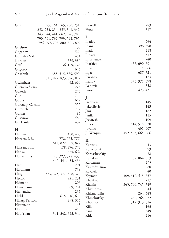| Giri             | 75, 164, 165, 250, 251,       | Howell             | 783                |
|------------------|-------------------------------|--------------------|--------------------|
|                  | 252, 253, 254, 255, 341, 342, | Huss               | 817                |
|                  | 343, 344, 441, 662, 676, 780, |                    |                    |
|                  | 790, 791, 792, 793, 794, 795, | I                  |                    |
|                  | 796, 797, 798, 800, 801, 802  | Ibadov             | 264                |
| Gitelson         | 138                           | Idani              | 396, 398           |
| Goganov          | 564                           | Ikeda              | 218                |
| Gonzalez Vidal   | 454                           | Ilinsky            | 312                |
| Gordon           | 379, 380                      | Iljiushenok        | 740                |
| Graf             | 136, 179, 728                 | Inarkiev           | 436, 690, 691      |
| Grigorov         | 676                           | Iniyan             | 58,66              |
| Grischuk         | 385, 515, 589, 590,           | Injac              | 687, 721           |
|                  | 611, 872, 873, 876, 877       | Irwanto            | 123                |
| Gschnitzer       | 62, 664                       | Ivanov             | 373, 375, 378      |
| Guerrero Sierra  | 223                           | Ivanovic           | 358                |
| Gukesh           | 275                           | Izoria             | 423, 431           |
| Guo              | 714                           |                    |                    |
| Gupta            | 612                           | J                  |                    |
| Guretzky-Cornitz | 557                           | Jacobsen           | 145                |
| Gurevich         | 717                           | Jakovljevic        | 143                |
| Gurner           | 86                            | Jani               | 182                |
| Guseinov         | 486                           | Janik              | 115<br>109         |
| Gu Tianlu        | 432                           | Jeevitesh<br>Jones | 514, 518, 520      |
|                  |                               | Jovanic            | 401, 407           |
| H                |                               | Ju Wenjun          | 452, 505, 665, 666 |
| Hammer           | 400, 405                      |                    |                    |
| Hansen, L.B.     | 772, 775, 777,                | K                  |                    |
|                  | 814, 822, 825, 827            | Kapnisis           | 743                |
| Hansen, Su.B.    | 178, 276, 772                 | Karacsonyi         | 73                 |
| Harika           | 665, 667                      | Kardashevskiy      | 428                |
| Harikrishna      | 70, 327, 328, 433,            | Karjakin           | 52, 864, 873       |
|                  | 440, 441, 454, 456            | Karttunen          | 295                |
| Hart             | 291                           | Kasimdzhanov       | 780                |
| Hartmann         | 739                           | Kavalek            | 40                 |
| Haug             | 373, 375, 377, 378, 379       | Keymer             | 409, 410, 415, 857 |
| Hector           | 221, 231                      | Khalifman          | 217                |
| Heimann          | 206                           | Khanin             | 365, 740, 745, 749 |
| Heinemann        | 69, 234                       | Khazhomia          | 44                 |
| Hernandez        | 236                           | Khismatullin       | 264, 448           |
| Hickl            | 615, 616, 619                 | Khmelnitsky        | 267, 268, 272      |
| Hillarp Persson  | 298, 356                      | Kholmov            | 312, 313, 314      |
| Hjartarson       | 43                            | Kiik               | 163                |
| Houdini          | 458                           | King               | 349                |
| Hou Yifan        | 341, 342, 343, 344            | Kirk               | 216                |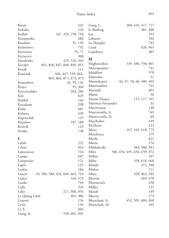| Knott         | 242                              | Liang, J.          | 208, 416, 417, 717           |
|---------------|----------------------------------|--------------------|------------------------------|
| Kobalia       | 226                              | Li Ruifeng         | 401, 406                     |
| Kollars       | 167, 229, 258, 744               | Liu                | 333                          |
| Kononenko     | 686                              | Lobanov            | 502                          |
| Korobov       | 31, 139                          | Lu Shanglei        | 782                          |
| Kosintseva    | 742                              | Lund               | 626, 845                     |
| Kotronias     | 70, 71                           | Lupulescu          | 485                          |
| Kovacevic     | 368                              |                    |                              |
| Kovalenko     | 325, 326, 564                    | M                  |                              |
| Kovalev       | 845, 846, 847, 848, 849, 853     | Maghsoodloo        | 149, 486, 550, 601           |
| Kozak         | 111                              | Makropoulou        | 741                          |
| Kramnik       | 446, 447, 559, 864,              | Malakhov           | 370                          |
|               | 865, 866, 871, 872, 873          | Mamedov            | 31                           |
| Krasenkow     | 32, 95, 126                      | Mamedyarov         | 46, 47, 58, 66, 400, 402     |
| Krejci        | 91, 368                          | Mammadova          | 742                          |
| Kryvoruchko   | 283, 286                         | Marandi            | 463                          |
| Ksir          | 829                              | Martic             | 56                           |
| Kubbel        | 140                              | Martin Duque       | 115, 117, 701                |
| Kucuksari     | 298                              | Martinez Fernandez | 32                           |
| Kuhn          | 681                              | Martirosyan        | 140                          |
| Kulaots       | 439                              | Mastrovasilis, A.  | 743                          |
| Kupreichik    | 125                              | Mastrovasilis, D.  | 69                           |
| Kuzubov       | 187, 188                         | Mayrhuber          | 109                          |
| Kvisvik       | 123                              | McShane            | 123                          |
| Kvitka        | 138                              | Meier              | 167, 169, 618, 773           |
|               |                                  | Mendonca           | 275                          |
| L             |                                  | Merilo             | 821                          |
| Lalith        | 222                              | Miezis             | 276                          |
| L'Ami         | 816                              | Mikhalevski        | 503, 580, 581                |
| Lamoureux     | 744                              | Miles              | 586, 654, 655, 656, 659, 872 |
| Lampe         | 647                              | Milliet            | 107                          |
| Lamprecht     | 121                              | Milos              | 358, 618, 668                |
| Laptii        | 125                              | Minski             | 215, 348                     |
| Larkin        | 166                              | Mishra             | 111                          |
| Larsen        | 10, 586, 588, 654, 660, 662, 716 | Mista              | 420, 463, 583                |
| Lasker        | 164, 319                         | Moroni             | 669, 670                     |
| Latzke        | 744                              | Morozevich         | 458                          |
| Lejlic        | 324                              | Müller             | 121                          |
| Leko          | 217, 500, 856                    | Murali             | 149                          |
| Le Quang Liem | 401, 406                         | Murzin             | 274                          |
| Lesovoi       | 134                              | Muzychuk, A.       | 452, 505, 684, 848           |
| Levin         | 134                              | Muzychuk, M.       | 163                          |
| Li, E.        | 466                              |                    |                              |
| Liang, A.     | 550, 601, 845                    |                    |                              |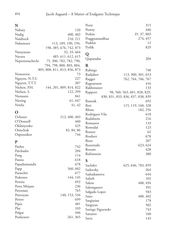| 446<br>Postny<br>Nabaty<br>120<br>Potkin<br>35, 37, 803<br>400, 402<br>Nadig<br>Praggnanandhaa<br>274, 457<br>Naiditsch<br>210, 211<br>Psakhis<br>12<br>Nakamura<br>113, 189, 190, 194,<br>Pytlik<br>829<br>198, 385, 676, 742, 873<br>32, 33, 664<br>Narayanan<br>Q<br>Navara<br>485, 611, 612, 615<br>Quparadze<br>204<br>Nepomniachtchi<br>75, 300, 702, 782, 790,<br>794, 798, 800, 803, 804,<br>$\bf R$<br>805, 808, 811, 813, 856, 873<br>748<br>Rabiega<br>Nestorovic<br>73<br>Radjabov<br>113, 300, 301, 653<br>227<br>Nguyen, N.T.S.<br>Ragger<br>762, 764, 766, 767<br>Nguyen, T.T.T.<br>207<br>416<br>Ragnarsson<br>Nielsen, P.H.<br>144, 201, 809, 814, 822<br>Rakhmanov<br>133<br>Nielsen, S.<br>122, 299<br>98, 560, 563, 601, 828, 829,<br>Rapport<br>841<br>Niemann<br>830, 831, 833, 836, 837, 838, 839<br>61, 647<br>Niering<br>692<br>Raunak<br>Ntirlis<br>41, 42<br>Reti<br>115, 119, 160, 328<br>Rhine<br>182, 256<br>O<br>618<br>Rodriguez Vila<br>Ochsner<br>212, 400, 403<br>Rodshtein<br>216<br>O'Donnell<br>460<br>Romanov<br>133<br>425<br>Oleksiyenko<br>Romsdal<br>123<br>Onischuk<br>82, 84, 86<br>62<br>Rosner<br>744<br>Ospennikov<br>Roubert<br>678<br>207<br>Rout<br>${\bf P}$<br>623, 624<br>Rozentalis<br>Paehtz<br>742<br>428<br>Rozum<br>204<br>Paichadze<br>Rubinstein<br>380<br>114<br>Pang<br>618<br>Panno<br>S<br>678<br>Papadiamandis<br>Sachdev<br>625, 646, 783, 859 |
|-------------------------------------------------------------------------------------------------------------------------------------------------------------------------------------------------------------------------------------------------------------------------------------------------------------------------------------------------------------------------------------------------------------------------------------------------------------------------------------------------------------------------------------------------------------------------------------------------------------------------------------------------------------------------------------------------------------------------------------------------------------------------------------------------------------------------------------------------------------------------------------------------------------------------------------------------------------------------------------------------------------------------------------------------------------------------------------------------------------------------------------------------------------------------------------------------------------------------------------------------------------------------------------------------------------------------------------------------------------------------------------------------------------------|
|                                                                                                                                                                                                                                                                                                                                                                                                                                                                                                                                                                                                                                                                                                                                                                                                                                                                                                                                                                                                                                                                                                                                                                                                                                                                                                                                                                                                                   |
|                                                                                                                                                                                                                                                                                                                                                                                                                                                                                                                                                                                                                                                                                                                                                                                                                                                                                                                                                                                                                                                                                                                                                                                                                                                                                                                                                                                                                   |
|                                                                                                                                                                                                                                                                                                                                                                                                                                                                                                                                                                                                                                                                                                                                                                                                                                                                                                                                                                                                                                                                                                                                                                                                                                                                                                                                                                                                                   |
|                                                                                                                                                                                                                                                                                                                                                                                                                                                                                                                                                                                                                                                                                                                                                                                                                                                                                                                                                                                                                                                                                                                                                                                                                                                                                                                                                                                                                   |
|                                                                                                                                                                                                                                                                                                                                                                                                                                                                                                                                                                                                                                                                                                                                                                                                                                                                                                                                                                                                                                                                                                                                                                                                                                                                                                                                                                                                                   |
|                                                                                                                                                                                                                                                                                                                                                                                                                                                                                                                                                                                                                                                                                                                                                                                                                                                                                                                                                                                                                                                                                                                                                                                                                                                                                                                                                                                                                   |
|                                                                                                                                                                                                                                                                                                                                                                                                                                                                                                                                                                                                                                                                                                                                                                                                                                                                                                                                                                                                                                                                                                                                                                                                                                                                                                                                                                                                                   |
|                                                                                                                                                                                                                                                                                                                                                                                                                                                                                                                                                                                                                                                                                                                                                                                                                                                                                                                                                                                                                                                                                                                                                                                                                                                                                                                                                                                                                   |
|                                                                                                                                                                                                                                                                                                                                                                                                                                                                                                                                                                                                                                                                                                                                                                                                                                                                                                                                                                                                                                                                                                                                                                                                                                                                                                                                                                                                                   |
|                                                                                                                                                                                                                                                                                                                                                                                                                                                                                                                                                                                                                                                                                                                                                                                                                                                                                                                                                                                                                                                                                                                                                                                                                                                                                                                                                                                                                   |
|                                                                                                                                                                                                                                                                                                                                                                                                                                                                                                                                                                                                                                                                                                                                                                                                                                                                                                                                                                                                                                                                                                                                                                                                                                                                                                                                                                                                                   |
|                                                                                                                                                                                                                                                                                                                                                                                                                                                                                                                                                                                                                                                                                                                                                                                                                                                                                                                                                                                                                                                                                                                                                                                                                                                                                                                                                                                                                   |
|                                                                                                                                                                                                                                                                                                                                                                                                                                                                                                                                                                                                                                                                                                                                                                                                                                                                                                                                                                                                                                                                                                                                                                                                                                                                                                                                                                                                                   |
|                                                                                                                                                                                                                                                                                                                                                                                                                                                                                                                                                                                                                                                                                                                                                                                                                                                                                                                                                                                                                                                                                                                                                                                                                                                                                                                                                                                                                   |
|                                                                                                                                                                                                                                                                                                                                                                                                                                                                                                                                                                                                                                                                                                                                                                                                                                                                                                                                                                                                                                                                                                                                                                                                                                                                                                                                                                                                                   |
|                                                                                                                                                                                                                                                                                                                                                                                                                                                                                                                                                                                                                                                                                                                                                                                                                                                                                                                                                                                                                                                                                                                                                                                                                                                                                                                                                                                                                   |
|                                                                                                                                                                                                                                                                                                                                                                                                                                                                                                                                                                                                                                                                                                                                                                                                                                                                                                                                                                                                                                                                                                                                                                                                                                                                                                                                                                                                                   |
|                                                                                                                                                                                                                                                                                                                                                                                                                                                                                                                                                                                                                                                                                                                                                                                                                                                                                                                                                                                                                                                                                                                                                                                                                                                                                                                                                                                                                   |
|                                                                                                                                                                                                                                                                                                                                                                                                                                                                                                                                                                                                                                                                                                                                                                                                                                                                                                                                                                                                                                                                                                                                                                                                                                                                                                                                                                                                                   |
|                                                                                                                                                                                                                                                                                                                                                                                                                                                                                                                                                                                                                                                                                                                                                                                                                                                                                                                                                                                                                                                                                                                                                                                                                                                                                                                                                                                                                   |
|                                                                                                                                                                                                                                                                                                                                                                                                                                                                                                                                                                                                                                                                                                                                                                                                                                                                                                                                                                                                                                                                                                                                                                                                                                                                                                                                                                                                                   |
|                                                                                                                                                                                                                                                                                                                                                                                                                                                                                                                                                                                                                                                                                                                                                                                                                                                                                                                                                                                                                                                                                                                                                                                                                                                                                                                                                                                                                   |
|                                                                                                                                                                                                                                                                                                                                                                                                                                                                                                                                                                                                                                                                                                                                                                                                                                                                                                                                                                                                                                                                                                                                                                                                                                                                                                                                                                                                                   |
|                                                                                                                                                                                                                                                                                                                                                                                                                                                                                                                                                                                                                                                                                                                                                                                                                                                                                                                                                                                                                                                                                                                                                                                                                                                                                                                                                                                                                   |
|                                                                                                                                                                                                                                                                                                                                                                                                                                                                                                                                                                                                                                                                                                                                                                                                                                                                                                                                                                                                                                                                                                                                                                                                                                                                                                                                                                                                                   |
|                                                                                                                                                                                                                                                                                                                                                                                                                                                                                                                                                                                                                                                                                                                                                                                                                                                                                                                                                                                                                                                                                                                                                                                                                                                                                                                                                                                                                   |
|                                                                                                                                                                                                                                                                                                                                                                                                                                                                                                                                                                                                                                                                                                                                                                                                                                                                                                                                                                                                                                                                                                                                                                                                                                                                                                                                                                                                                   |
|                                                                                                                                                                                                                                                                                                                                                                                                                                                                                                                                                                                                                                                                                                                                                                                                                                                                                                                                                                                                                                                                                                                                                                                                                                                                                                                                                                                                                   |
|                                                                                                                                                                                                                                                                                                                                                                                                                                                                                                                                                                                                                                                                                                                                                                                                                                                                                                                                                                                                                                                                                                                                                                                                                                                                                                                                                                                                                   |
|                                                                                                                                                                                                                                                                                                                                                                                                                                                                                                                                                                                                                                                                                                                                                                                                                                                                                                                                                                                                                                                                                                                                                                                                                                                                                                                                                                                                                   |
|                                                                                                                                                                                                                                                                                                                                                                                                                                                                                                                                                                                                                                                                                                                                                                                                                                                                                                                                                                                                                                                                                                                                                                                                                                                                                                                                                                                                                   |
| 560, 602<br>Papp<br>Sadovsky<br>264                                                                                                                                                                                                                                                                                                                                                                                                                                                                                                                                                                                                                                                                                                                                                                                                                                                                                                                                                                                                                                                                                                                                                                                                                                                                                                                                                                               |
| Paraschiv<br>677<br>644<br>Saduakassova                                                                                                                                                                                                                                                                                                                                                                                                                                                                                                                                                                                                                                                                                                                                                                                                                                                                                                                                                                                                                                                                                                                                                                                                                                                                                                                                                                           |
| Pedersen<br>144, 145<br>Safarli<br>102                                                                                                                                                                                                                                                                                                                                                                                                                                                                                                                                                                                                                                                                                                                                                                                                                                                                                                                                                                                                                                                                                                                                                                                                                                                                                                                                                                            |
| 692<br>Pereira<br>488, 494<br>Salem                                                                                                                                                                                                                                                                                                                                                                                                                                                                                                                                                                                                                                                                                                                                                                                                                                                                                                                                                                                                                                                                                                                                                                                                                                                                                                                                                                               |
| 236<br>Perez Mitjans<br>Salemgareev<br>391                                                                                                                                                                                                                                                                                                                                                                                                                                                                                                                                                                                                                                                                                                                                                                                                                                                                                                                                                                                                                                                                                                                                                                                                                                                                                                                                                                        |
| 765<br>Petrosian<br>583<br>Salgado Lopez                                                                                                                                                                                                                                                                                                                                                                                                                                                                                                                                                                                                                                                                                                                                                                                                                                                                                                                                                                                                                                                                                                                                                                                                                                                                                                                                                                          |
| 140, 153, 534<br>Petrosyan<br>400, 402<br>Sano                                                                                                                                                                                                                                                                                                                                                                                                                                                                                                                                                                                                                                                                                                                                                                                                                                                                                                                                                                                                                                                                                                                                                                                                                                                                                                                                                                    |
| 699<br>Petrov<br>Sargissian<br>178                                                                                                                                                                                                                                                                                                                                                                                                                                                                                                                                                                                                                                                                                                                                                                                                                                                                                                                                                                                                                                                                                                                                                                                                                                                                                                                                                                                |
| Pipia<br>481<br>502<br>Sargsyan                                                                                                                                                                                                                                                                                                                                                                                                                                                                                                                                                                                                                                                                                                                                                                                                                                                                                                                                                                                                                                                                                                                                                                                                                                                                                                                                                                                   |
| Plat<br>103<br>743<br>Sariego Figueredo                                                                                                                                                                                                                                                                                                                                                                                                                                                                                                                                                                                                                                                                                                                                                                                                                                                                                                                                                                                                                                                                                                                                                                                                                                                                                                                                                                           |
| Polgar<br>446<br>160<br>Sattarov                                                                                                                                                                                                                                                                                                                                                                                                                                                                                                                                                                                                                                                                                                                                                                                                                                                                                                                                                                                                                                                                                                                                                                                                                                                                                                                                                                                  |
| Ponkratov<br>261, 365<br>143<br>Savic                                                                                                                                                                                                                                                                                                                                                                                                                                                                                                                                                                                                                                                                                                                                                                                                                                                                                                                                                                                                                                                                                                                                                                                                                                                                                                                                                                             |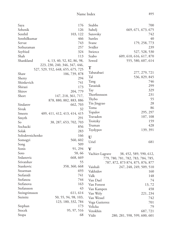| Saya                   | 176                               | Stubbs          | 700                                |
|------------------------|-----------------------------------|-----------------|------------------------------------|
| Sebenik                | 126                               | Subelj          | 669, 671, 673, 675                 |
| Senthil                | 103, 122                          | Sutovsky        | 742                                |
| Senthilkumar           | 466                               | Suttles         | 40                                 |
| Servat                 | 743                               | Svane           | 179, 258, 773                      |
| Sethuraman             | 257                               | Svidler         | 239                                |
| Seyfried               | 324                               | Swiercz         | 527, 528, 530                      |
| Shah                   | 113                               | Szabo           | 609, 610, 616, 617, 870            |
| Shankland              | 4, 13, 40, 52, 82, 86, 98,        | Szwed           | 555, 580, 607, 614                 |
|                        | 223, 230, 240, 346, 347, 446,     |                 |                                    |
|                        | 527, 529, 552, 648, 655, 675, 725 | $\mathbf T$     |                                    |
| Shaw                   | 106, 739, 878                     | Tabatabaei      | 277, 279, 721                      |
| Shetty                 | 294                               | Tal             | 536, 829, 845                      |
| Shinkevich             | 741                               | Tang            | 746                                |
| Shirazi                | 173                               | Tarasiuk        | 299                                |
| Shirov                 | 204, 779                          | Tay             | 329                                |
| Short                  | 147, 218, 361, 717,               | Thorfinnsson    | 231                                |
|                        | 878, 880, 882, 883, 886           | Thybo           | 55                                 |
| Sindarov               | 662, 703                          | Tin Jingyao     | 28                                 |
| Sivuk                  | 32                                | Toma            | 86                                 |
| Smeets                 | 409, 411, 412, 413, 414, 415      | Topalov         | 295, 297                           |
| Smyth                  | 291                               | Travadon        | 107, 108                           |
| So                     | 38, 287, 653, 702, 703            | Troitzky        | 159                                |
| Sochacki               | 856                               | Truman          | 428                                |
| Solak                  | 283                               | Tsydypov        | 139, 391                           |
| Solodovnichenko<br>166 |                                   |                 |                                    |
| Somogyi                | 560, 602                          | U               |                                    |
| Song                   | 509                               | Uriel           | 681                                |
| Sonis                  | 91, 294                           | $\mathbf V$     |                                    |
| Soto                   | 58,66                             | Vachier-Lagrave | 38, 452, 589, 590, 612,            |
| Srdanovic              | 668, 669                          |                 | 779, 780, 781, 782, 783, 784, 785, |
| Srivatshav             | 55                                |                 | 787, 872, 873 874, 875, 876, 877   |
| Stankovic              | 358, 360, 668                     | Vaishali        | 247, 248, 249, 509, 510            |
| Stearman               | 693                               | Vakhidov        | 160                                |
| Stefanidi              | 741                               | Valk            | 148                                |
| Stefanou               | 744                               | Van Dael        | 74                                 |
| Stefanova              | 163                               | Van Foreest     |                                    |
| Stefansson             | 43                                | Van Kampen      | 13,72<br>458                       |
| Steingrimsson          | 611, 614                          |                 | 221, 234                           |
| Steinitz               | 50, 55, 94, 98, 103,              | Van Wely        |                                    |
|                        | 123, 180, 332, 784                | Van Wessel      | 742                                |
| Stephan                | 173                               | Vega Gutierrez  | 701                                |
| Stocek                 | 95, 97, 516                       | Velicka         | 79                                 |
| Stopa                  | 68                                | Vetokhin        | 687, 721                           |
|                        |                                   | Vidit           | 280, 281, 598, 599, 600, 601       |